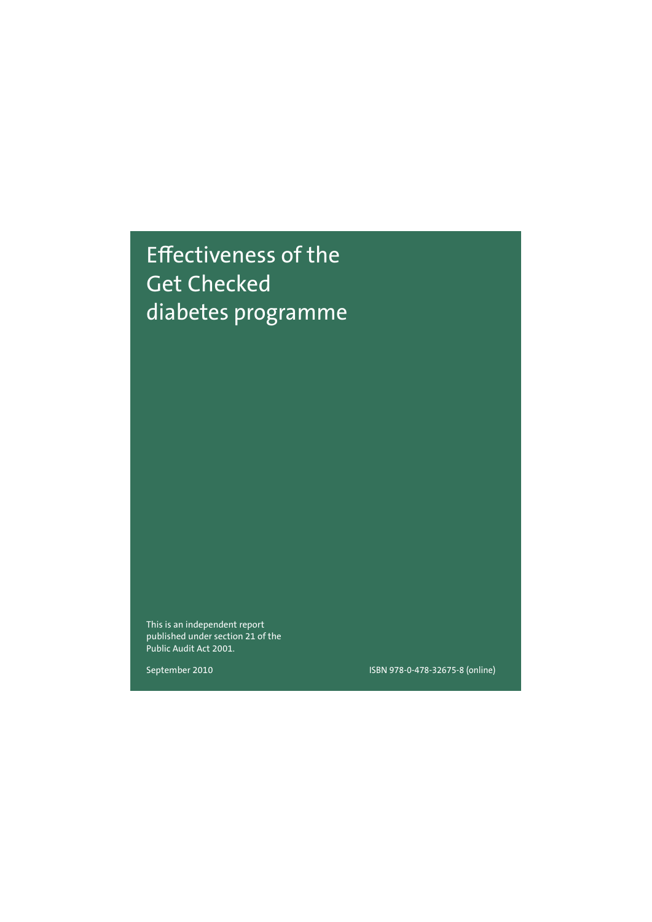# Effectiveness of the Get Checked diabetes programme

This is an independent report published under section 21 of the Public Audit Act 2001.

September 2010

ISBN 978-0-478-32675-8 (online)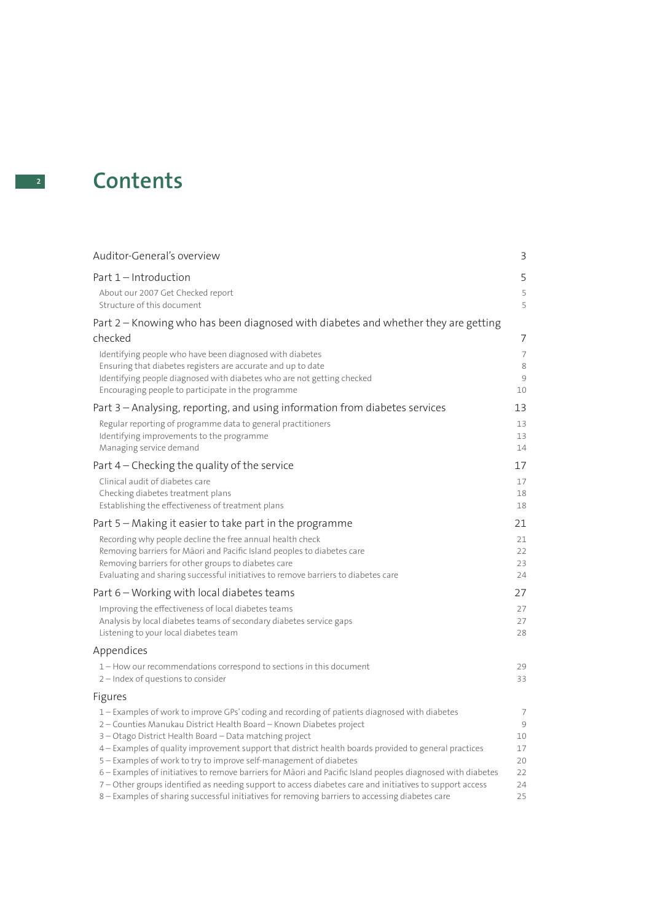# **<sup>2</sup> Contents**

| Auditor-General's overview                                                                                                                                                                                                                                                                                                                                                                                                                                                                                                                                                                                                                | 3                                    |
|-------------------------------------------------------------------------------------------------------------------------------------------------------------------------------------------------------------------------------------------------------------------------------------------------------------------------------------------------------------------------------------------------------------------------------------------------------------------------------------------------------------------------------------------------------------------------------------------------------------------------------------------|--------------------------------------|
| Part 1 - Introduction                                                                                                                                                                                                                                                                                                                                                                                                                                                                                                                                                                                                                     | 5                                    |
| About our 2007 Get Checked report<br>Structure of this document                                                                                                                                                                                                                                                                                                                                                                                                                                                                                                                                                                           | 5<br>5                               |
| Part 2 - Knowing who has been diagnosed with diabetes and whether they are getting                                                                                                                                                                                                                                                                                                                                                                                                                                                                                                                                                        |                                      |
| checked                                                                                                                                                                                                                                                                                                                                                                                                                                                                                                                                                                                                                                   | 7                                    |
| Identifying people who have been diagnosed with diabetes<br>Ensuring that diabetes registers are accurate and up to date<br>Identifying people diagnosed with diabetes who are not getting checked<br>Encouraging people to participate in the programme                                                                                                                                                                                                                                                                                                                                                                                  | $\overline{7}$<br>8<br>9<br>10       |
| Part 3 - Analysing, reporting, and using information from diabetes services                                                                                                                                                                                                                                                                                                                                                                                                                                                                                                                                                               | 13                                   |
| Regular reporting of programme data to general practitioners<br>Identifying improvements to the programme<br>Managing service demand                                                                                                                                                                                                                                                                                                                                                                                                                                                                                                      | 13<br>13<br>14                       |
| Part $4$ – Checking the quality of the service                                                                                                                                                                                                                                                                                                                                                                                                                                                                                                                                                                                            | 17                                   |
| Clinical audit of diabetes care<br>Checking diabetes treatment plans<br>Establishing the effectiveness of treatment plans                                                                                                                                                                                                                                                                                                                                                                                                                                                                                                                 | 17<br>18<br>18                       |
| Part $5$ – Making it easier to take part in the programme                                                                                                                                                                                                                                                                                                                                                                                                                                                                                                                                                                                 | 21                                   |
| Recording why people decline the free annual health check<br>Removing barriers for Māori and Pacific Island peoples to diabetes care<br>Removing barriers for other groups to diabetes care<br>Evaluating and sharing successful initiatives to remove barriers to diabetes care                                                                                                                                                                                                                                                                                                                                                          | 21<br>22<br>23<br>24                 |
| Part 6 – Working with local diabetes teams                                                                                                                                                                                                                                                                                                                                                                                                                                                                                                                                                                                                | 27                                   |
| Improving the effectiveness of local diabetes teams<br>Analysis by local diabetes teams of secondary diabetes service gaps<br>Listening to your local diabetes team                                                                                                                                                                                                                                                                                                                                                                                                                                                                       | 27<br>27<br>28                       |
| Appendices                                                                                                                                                                                                                                                                                                                                                                                                                                                                                                                                                                                                                                |                                      |
| 1 – How our recommendations correspond to sections in this document<br>2 - Index of questions to consider                                                                                                                                                                                                                                                                                                                                                                                                                                                                                                                                 | 29<br>33                             |
| Figures                                                                                                                                                                                                                                                                                                                                                                                                                                                                                                                                                                                                                                   |                                      |
| 1 - Examples of work to improve GPs' coding and recording of patients diagnosed with diabetes<br>2 - Counties Manukau District Health Board - Known Diabetes project<br>3 – Otago District Health Board – Data matching project<br>4 - Examples of quality improvement support that district health boards provided to general practices<br>5 – Examples of work to try to improve self-management of diabetes<br>6 – Examples of initiatives to remove barriers for Māori and Pacific Island peoples diagnosed with diabetes<br>7 – Other groups identified as needing support to access diabetes care and initiatives to support access | 7<br>9<br>10<br>17<br>20<br>22<br>24 |
| 8 – Examples of sharing successful initiatives for removing barriers to accessing diabetes care                                                                                                                                                                                                                                                                                                                                                                                                                                                                                                                                           | 25                                   |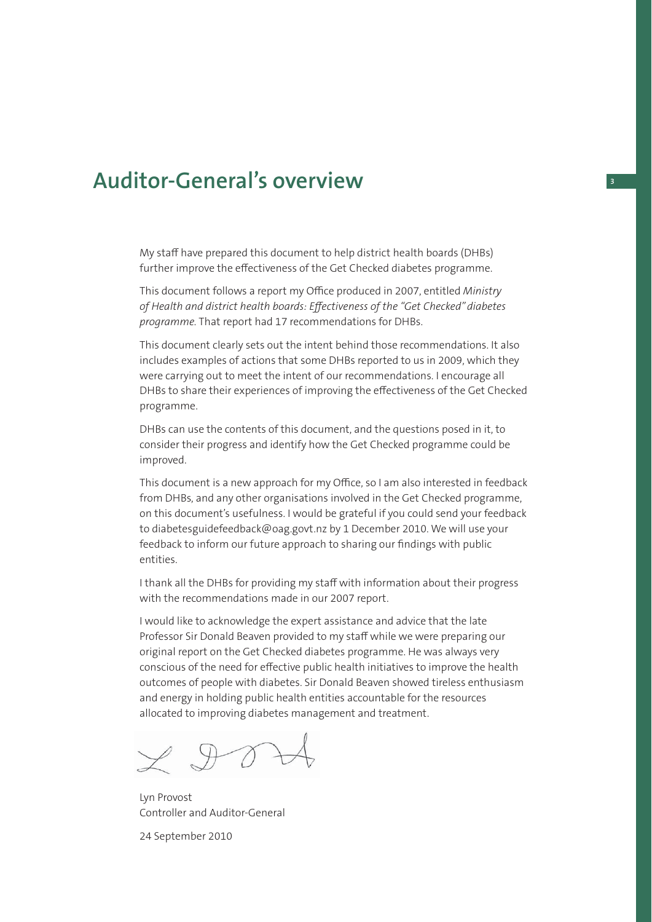## **Auditor-General's overview <sup>3</sup>**

My staff have prepared this document to help district health boards (DHBs) further improve the effectiveness of the Get Checked diabetes programme.

This document follows a report my Office produced in 2007, entitled *Ministry of Health and district health boards: Eff ectiveness of the "Get Checked" diabetes programme.* That report had 17 recommendations for DHBs.

This document clearly sets out the intent behind those recommendations. It also includes examples of actions that some DHBs reported to us in 2009, which they were carrying out to meet the intent of our recommendations. I encourage all DHBs to share their experiences of improving the effectiveness of the Get Checked programme.

DHBs can use the contents of this document, and the questions posed in it, to consider their progress and identify how the Get Checked programme could be improved.

This document is a new approach for my Office, so I am also interested in feedback from DHBs, and any other organisations involved in the Get Checked programme, on this document's usefulness. I would be grateful if you could send your feedback to diabetesguidefeedback@oag.govt.nz by 1 December 2010. We will use your feedback to inform our future approach to sharing our findings with public entities.

I thank all the DHBs for providing my staff with information about their progress with the recommendations made in our 2007 report.

I would like to acknowledge the expert assistance and advice that the late Professor Sir Donald Beaven provided to my staff while we were preparing our original report on the Get Checked diabetes programme. He was always very conscious of the need for effective public health initiatives to improve the health outcomes of people with diabetes. Sir Donald Beaven showed tireless enthusiasm and energy in holding public health entities accountable for the resources allocated to improving diabetes management and treatment.

Lyn Provost Controller and Auditor-General

24 September 2010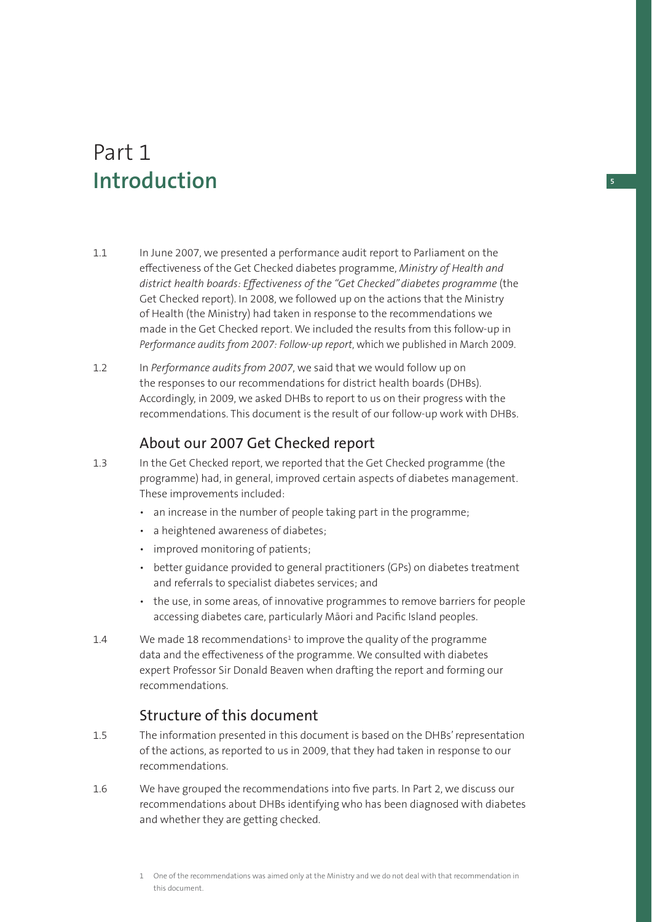# Part 1 **Introduction**

- 1.1 In June 2007, we presented a performance audit report to Parliament on the effectiveness of the Get Checked diabetes programme, Ministry of Health and district health boards: Effectiveness of the "Get Checked" diabetes programme (the Get Checked report). In 2008, we followed up on the actions that the Ministry of Health (the Ministry) had taken in response to the recommendations we made in the Get Checked report. We included the results from this follow-up in *Performance audits from 2007: Follow-up report*, which we published in March 2009.
- 1.2 In *Performance audits from 2007*, we said that we would follow up on the responses to our recommendations for district health boards (DHBs). Accordingly, in 2009, we asked DHBs to report to us on their progress with the recommendations. This document is the result of our follow-up work with DHBs.

## About our 2007 Get Checked report

- 1.3 In the Get Checked report, we reported that the Get Checked programme (the programme) had, in general, improved certain aspects of diabetes management. These improvements included:
	- an increase in the number of people taking part in the programme;
	- a heightened awareness of diabetes;
	- improved monitoring of patients;
	- better guidance provided to general practitioners (GPs) on diabetes treatment and referrals to specialist diabetes services; and
	- the use, in some areas, of innovative programmes to remove barriers for people accessing diabetes care, particularly Māori and Pacific Island peoples.
- 1.4 We made 18 recommendations<sup>1</sup> to improve the quality of the programme data and the effectiveness of the programme. We consulted with diabetes expert Professor Sir Donald Beaven when drafting the report and forming our recommendations.

## Structure of this document

- 1.5 The information presented in this document is based on the DHBs' representation of the actions, as reported to us in 2009, that they had taken in response to our recommendations.
- 1.6 We have grouped the recommendations into five parts. In Part 2, we discuss our recommendations about DHBs identifying who has been diagnosed with diabetes and whether they are getting checked.

**5**

<sup>1</sup> One of the recommendations was aimed only at the Ministry and we do not deal with that recommendation in this document.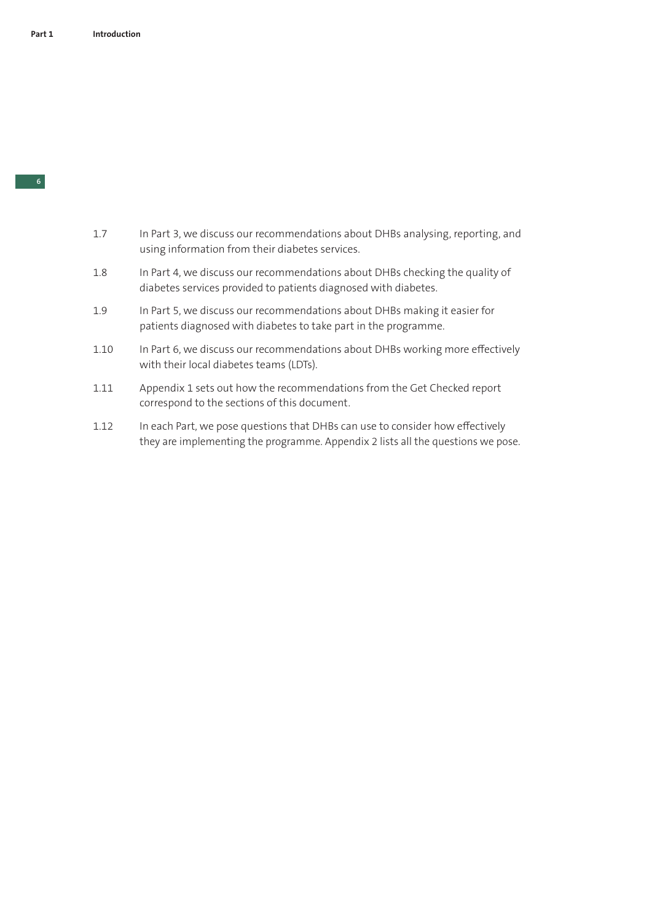- 1.7 In Part 3, we discuss our recommendations about DHBs analysing, reporting, and using information from their diabetes services.
- 1.8 In Part 4, we discuss our recommendations about DHBs checking the quality of diabetes services provided to patients diagnosed with diabetes.
- 1.9 In Part 5, we discuss our recommendations about DHBs making it easier for patients diagnosed with diabetes to take part in the programme.
- 1.10 In Part 6, we discuss our recommendations about DHBs working more effectively with their local diabetes teams (LDTs).
- 1.11 Appendix 1 sets out how the recommendations from the Get Checked report correspond to the sections of this document.
- 1.12 In each Part, we pose questions that DHBs can use to consider how effectively they are implementing the programme. Appendix 2 lists all the questions we pose.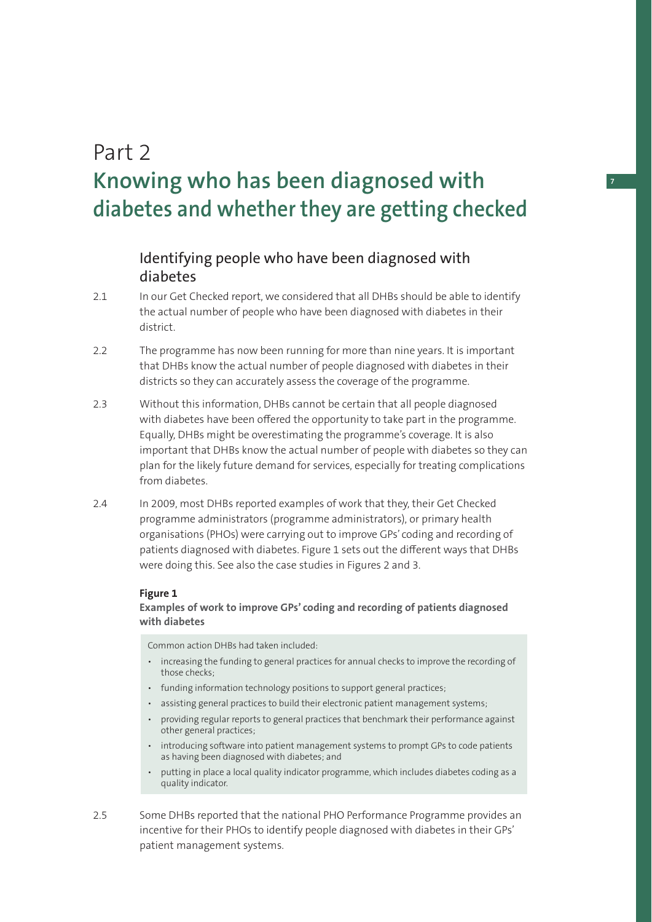# Part 2 **Knowing who has been diagnosed with diabetes and whether they are getting checked**

## Identifying people who have been diagnosed with diabetes

- 2.1 In our Get Checked report, we considered that all DHBs should be able to identify the actual number of people who have been diagnosed with diabetes in their district.
- 2.2 The programme has now been running for more than nine years. It is important that DHBs know the actual number of people diagnosed with diabetes in their districts so they can accurately assess the coverage of the programme.
- 2.3 Without this information, DHBs cannot be certain that all people diagnosed with diabetes have been offered the opportunity to take part in the programme. Equally, DHBs might be overestimating the programme's coverage. It is also important that DHBs know the actual number of people with diabetes so they can plan for the likely future demand for services, especially for treating complications from diabetes.
- 2.4 In 2009, most DHBs reported examples of work that they, their Get Checked programme administrators (programme administrators), or primary health organisations (PHOs) were carrying out to improve GPs' coding and recording of patients diagnosed with diabetes. Figure 1 sets out the different ways that DHBs were doing this. See also the case studies in Figures 2 and 3.

### **Figure 1**

**Examples of work to improve GPs' coding and recording of patients diagnosed with diabetes** 

Common action DHBs had taken included:

- increasing the funding to general practices for annual checks to improve the recording of those checks;
- funding information technology positions to support general practices;
- assisting general practices to build their electronic patient management systems;
- providing regular reports to general practices that benchmark their performance against other general practices;
- introducing software into patient management systems to prompt GPs to code patients as having been diagnosed with diabetes; and
- putting in place a local quality indicator programme, which includes diabetes coding as a quality indicator.
- 2.5 Some DHBs reported that the national PHO Performance Programme provides an incentive for their PHOs to identify people diagnosed with diabetes in their GPs' patient management systems.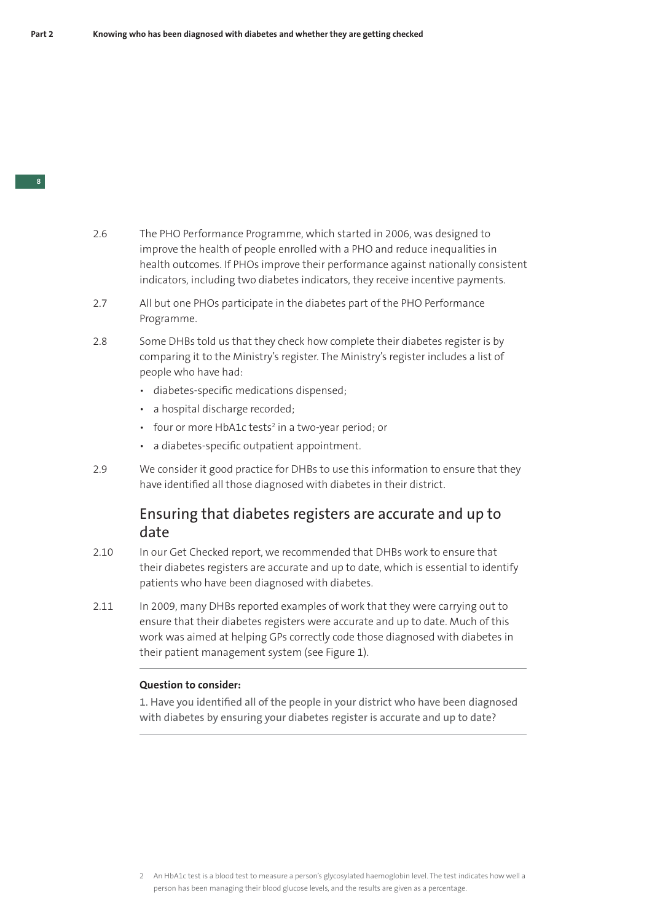- 2.6 The PHO Performance Programme, which started in 2006, was designed to improve the health of people enrolled with a PHO and reduce inequalities in health outcomes. If PHOs improve their performance against nationally consistent indicators, including two diabetes indicators, they receive incentive payments.
- 2.7 All but one PHOs participate in the diabetes part of the PHO Performance Programme.
- 2.8 Some DHBs told us that they check how complete their diabetes register is by comparing it to the Ministry's register. The Ministry's register includes a list of people who have had:
	- diabetes-specific medications dispensed:
	- a hospital discharge recorded;
	- four or more HbA1c tests<sup>2</sup> in a two-year period; or
	- a diabetes-specific outpatient appointment.
- 2.9 We consider it good practice for DHBs to use this information to ensure that they have identified all those diagnosed with diabetes in their district.

## Ensuring that diabetes registers are accurate and up to date

- 2.10 In our Get Checked report, we recommended that DHBs work to ensure that their diabetes registers are accurate and up to date, which is essential to identify patients who have been diagnosed with diabetes.
- 2.11 In 2009, many DHBs reported examples of work that they were carrying out to ensure that their diabetes registers were accurate and up to date. Much of this work was aimed at helping GPs correctly code those diagnosed with diabetes in their patient management system (see Figure 1).

#### **Question to consider:**

1. Have you identified all of the people in your district who have been diagnosed with diabetes by ensuring your diabetes register is accurate and up to date?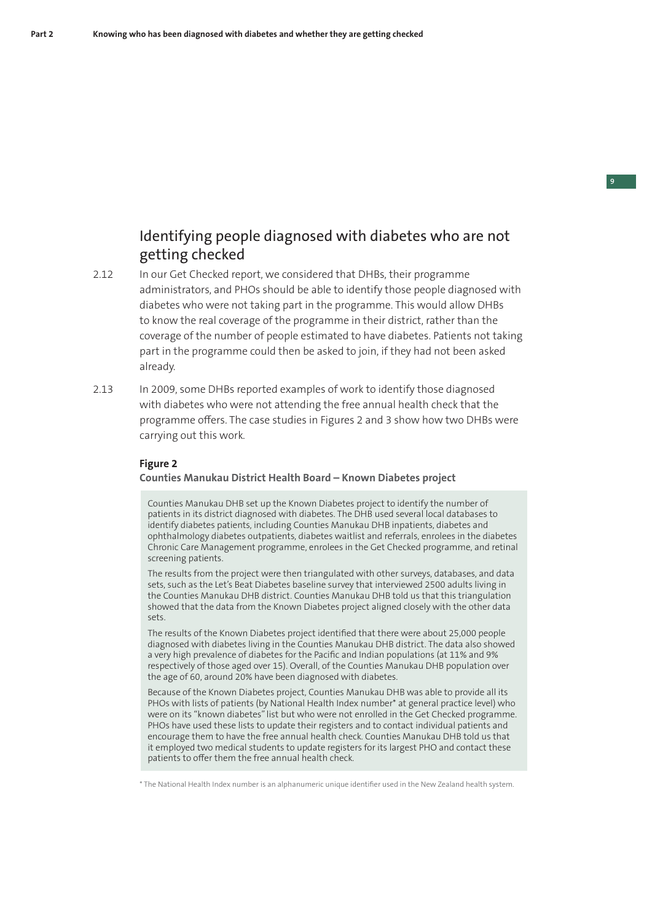## Identifying people diagnosed with diabetes who are not getting checked

- 2.12 In our Get Checked report, we considered that DHBs, their programme administrators, and PHOs should be able to identify those people diagnosed with diabetes who were not taking part in the programme. This would allow DHBs to know the real coverage of the programme in their district, rather than the coverage of the number of people estimated to have diabetes. Patients not taking part in the programme could then be asked to join, if they had not been asked already.
- 2.13 In 2009, some DHBs reported examples of work to identify those diagnosed with diabetes who were not attending the free annual health check that the programme offers. The case studies in Figures 2 and 3 show how two DHBs were carrying out this work.

#### **Figure 2**

#### **Counties Manukau District Health Board – Known Diabetes project**

Counties Manukau DHB set up the Known Diabetes project to identify the number of patients in its district diagnosed with diabetes. The DHB used several local databases to identify diabetes patients, including Counties Manukau DHB inpatients, diabetes and ophthalmology diabetes outpatients, diabetes waitlist and referrals, enrolees in the diabetes Chronic Care Management programme, enrolees in the Get Checked programme, and retinal screening patients.

The results from the project were then triangulated with other surveys, databases, and data sets, such as the Let's Beat Diabetes baseline survey that interviewed 2500 adults living in the Counties Manukau DHB district. Counties Manukau DHB told us that this triangulation showed that the data from the Known Diabetes project aligned closely with the other data sets.

The results of the Known Diabetes project identified that there were about 25,000 people diagnosed with diabetes living in the Counties Manukau DHB district. The data also showed a very high prevalence of diabetes for the Pacific and Indian populations (at 11% and 9% respectively of those aged over 15). Overall, of the Counties Manukau DHB population over the age of 60, around 20% have been diagnosed with diabetes.

Because of the Known Diabetes project, Counties Manukau DHB was able to provide all its PHOs with lists of patients (by National Health Index number\* at general practice level) who were on its "known diabetes" list but who were not enrolled in the Get Checked programme. PHOs have used these lists to update their registers and to contact individual patients and encourage them to have the free annual health check. Counties Manukau DHB told us that it employed two medical students to update registers for its largest PHO and contact these patients to offer them the free annual health check.

\* The National Health Index number is an alphanumeric unique identifi er used in the New Zealand health system.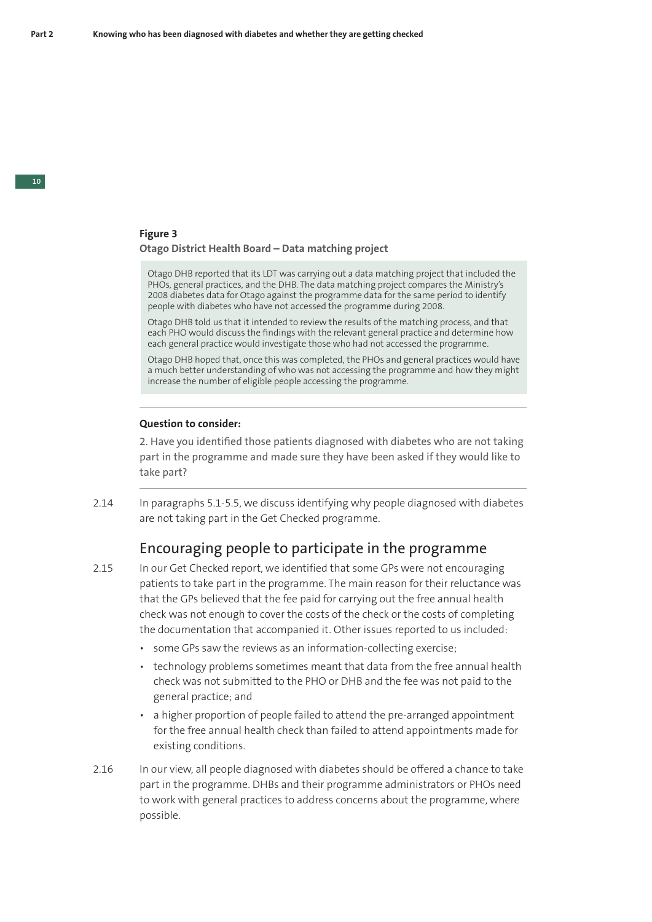### **Figure 3 Otago District Health Board – Data matching project**

Otago DHB reported that its LDT was carrying out a data matching project that included the PHOs, general practices, and the DHB. The data matching project compares the Ministry's 2008 diabetes data for Otago against the programme data for the same period to identify people with diabetes who have not accessed the programme during 2008.

Otago DHB told us that it intended to review the results of the matching process, and that each PHO would discuss the findings with the relevant general practice and determine how each general practice would investigate those who had not accessed the programme.

Otago DHB hoped that, once this was completed, the PHOs and general practices would have a much better understanding of who was not accessing the programme and how they might increase the number of eligible people accessing the programme.

#### **Question to consider:**

2. Have you identified those patients diagnosed with diabetes who are not taking part in the programme and made sure they have been asked if they would like to take part?

2.14 In paragraphs 5.1-5.5, we discuss identifying why people diagnosed with diabetes are not taking part in the Get Checked programme.

## Encouraging people to participate in the programme

- 2.15 In our Get Checked report, we identified that some GPs were not encouraging patients to take part in the programme. The main reason for their reluctance was that the GPs believed that the fee paid for carrying out the free annual health check was not enough to cover the costs of the check or the costs of completing the documentation that accompanied it. Other issues reported to us included:
	- some GPs saw the reviews as an information-collecting exercise;
	- technology problems sometimes meant that data from the free annual health check was not submitted to the PHO or DHB and the fee was not paid to the general practice; and
	- a higher proportion of people failed to attend the pre-arranged appointment for the free annual health check than failed to attend appointments made for existing conditions.
- 2.16 In our view, all people diagnosed with diabetes should be offered a chance to take part in the programme. DHBs and their programme administrators or PHOs need to work with general practices to address concerns about the programme, where possible.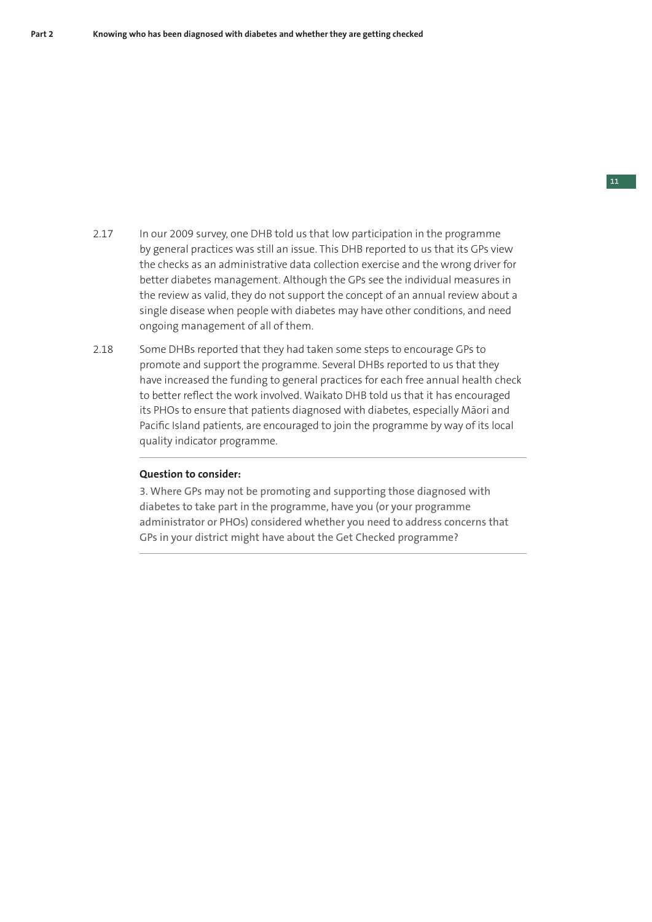- 2.17 In our 2009 survey, one DHB told us that low participation in the programme by general practices was still an issue. This DHB reported to us that its GPs view the checks as an administrative data collection exercise and the wrong driver for better diabetes management. Although the GPs see the individual measures in the review as valid, they do not support the concept of an annual review about a single disease when people with diabetes may have other conditions, and need ongoing management of all of them.
- 2.18 Some DHBs reported that they had taken some steps to encourage GPs to promote and support the programme. Several DHBs reported to us that they have increased the funding to general practices for each free annual health check to better reflect the work involved. Waikato DHB told us that it has encouraged its PHOs to ensure that patients diagnosed with diabetes, especially Māori and Pacific Island patients, are encouraged to join the programme by way of its local quality indicator programme.

## **Question to consider:**

3. Where GPs may not be promoting and supporting those diagnosed with diabetes to take part in the programme, have you (or your programme administrator or PHOs) considered whether you need to address concerns that GPs in your district might have about the Get Checked programme?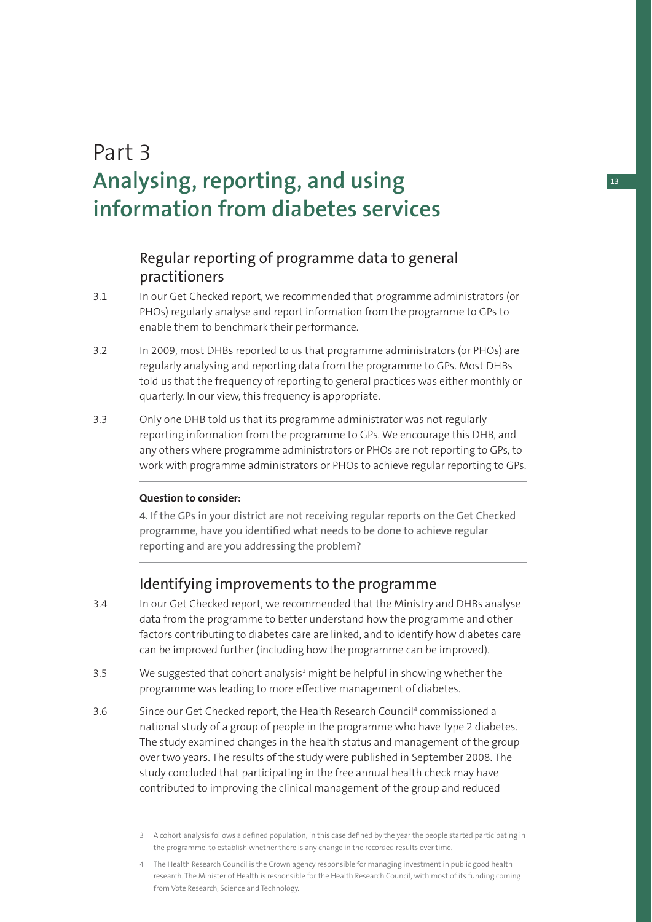# Part 3 **Analysing, reporting, and using information from diabetes services**

## Regular reporting of programme data to general practitioners

- 3.1 In our Get Checked report, we recommended that programme administrators (or PHOs) regularly analyse and report information from the programme to GPs to enable them to benchmark their performance.
- 3.2 In 2009, most DHBs reported to us that programme administrators (or PHOs) are regularly analysing and reporting data from the programme to GPs. Most DHBs told us that the frequency of reporting to general practices was either monthly or quarterly. In our view, this frequency is appropriate.
- 3.3 Only one DHB told us that its programme administrator was not regularly reporting information from the programme to GPs. We encourage this DHB, and any others where programme administrators or PHOs are not reporting to GPs, to work with programme administrators or PHOs to achieve regular reporting to GPs.

## **Question to consider:**

4. If the GPs in your district are not receiving regular reports on the Get Checked programme, have you identified what needs to be done to achieve regular reporting and are you addressing the problem?

## Identifying improvements to the programme

- 3.4 In our Get Checked report, we recommended that the Ministry and DHBs analyse data from the programme to better understand how the programme and other factors contributing to diabetes care are linked, and to identify how diabetes care can be improved further (including how the programme can be improved).
- 3.5 We suggested that cohort analysis<sup>3</sup> might be helpful in showing whether the programme was leading to more effective management of diabetes.
- 3.6 Since our Get Checked report, the Health Research Council4 commissioned a national study of a group of people in the programme who have Type 2 diabetes. The study examined changes in the health status and management of the group over two years. The results of the study were published in September 2008. The study concluded that participating in the free annual health check may have contributed to improving the clinical management of the group and reduced
	- 3 A cohort analysis follows a defined population, in this case defined by the year the people started participating in the programme, to establish whether there is any change in the recorded results over time.
	- 4 The Health Research Council is the Crown agency responsible for managing investment in public good health research. The Minister of Health is responsible for the Health Research Council, with most of its funding coming from Vote Research, Science and Technology.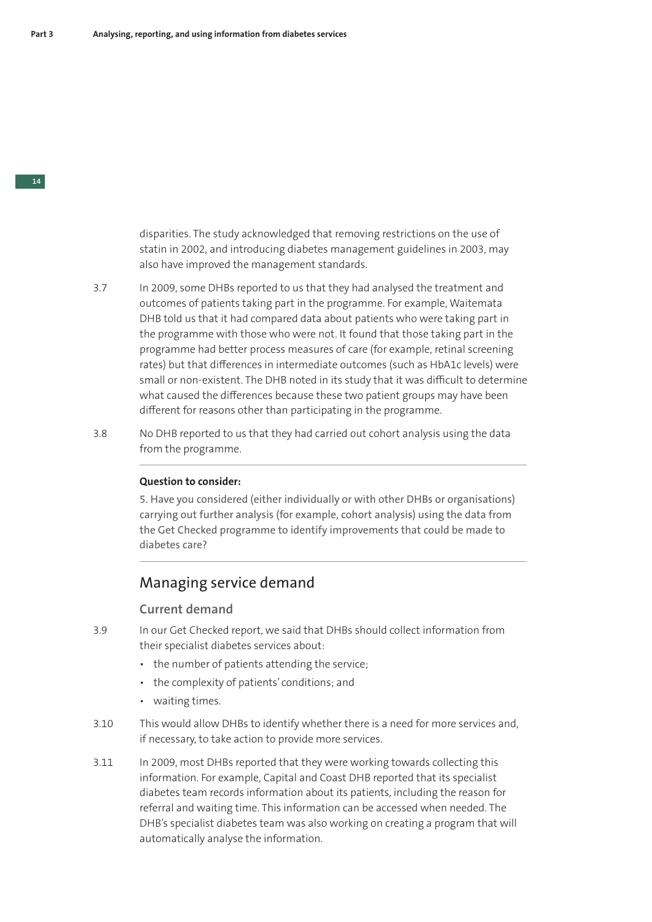disparities. The study acknowledged that removing restrictions on the use of statin in 2002, and introducing diabetes management guidelines in 2003, may also have improved the management standards.

- 3.7 In 2009, some DHBs reported to us that they had analysed the treatment and outcomes of patients taking part in the programme. For example, Waitemata DHB told us that it had compared data about patients who were taking part in the programme with those who were not. It found that those taking part in the programme had better process measures of care (for example, retinal screening rates) but that differences in intermediate outcomes (such as HbA1c levels) were small or non-existent. The DHB noted in its study that it was difficult to determine what caused the differences because these two patient groups may have been different for reasons other than participating in the programme.
- 3.8 No DHB reported to us that they had carried out cohort analysis using the data from the programme.

### **Question to consider:**

5. Have you considered (either individually or with other DHBs or organisations) carrying out further analysis (for example, cohort analysis) using the data from the Get Checked programme to identify improvements that could be made to diabetes care?

## Managing service demand

## **Current demand**

- 3.9 In our Get Checked report, we said that DHBs should collect information from their specialist diabetes services about:
	- the number of patients attending the service;
	- the complexity of patients' conditions; and
	- waiting times.
- 3.10 This would allow DHBs to identify whether there is a need for more services and, if necessary, to take action to provide more services.
- 3.11 In 2009, most DHBs reported that they were working towards collecting this information. For example, Capital and Coast DHB reported that its specialist diabetes team records information about its patients, including the reason for referral and waiting time. This information can be accessed when needed. The DHB's specialist diabetes team was also working on creating a program that will automatically analyse the information.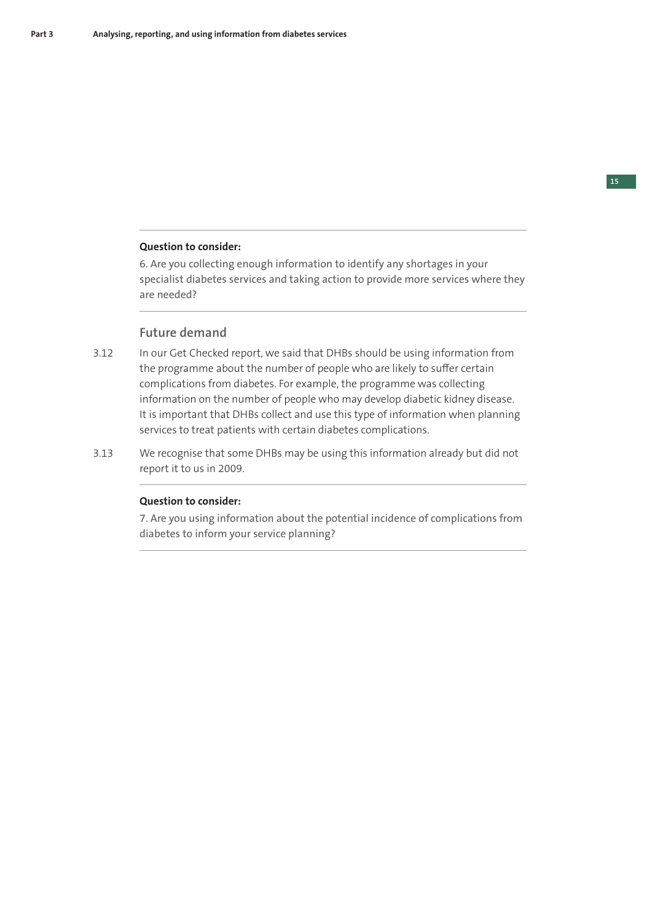## **Question to consider:**

6. Are you collecting enough information to identify any shortages in your specialist diabetes services and taking action to provide more services where they are needed?

## **Future demand**

- 3.12 In our Get Checked report, we said that DHBs should be using information from the programme about the number of people who are likely to suffer certain complications from diabetes. For example, the programme was collecting information on the number of people who may develop diabetic kidney disease. It is important that DHBs collect and use this type of information when planning services to treat patients with certain diabetes complications.
- 3.13 We recognise that some DHBs may be using this information already but did not report it to us in 2009.

### **Question to consider:**

7. Are you using information about the potential incidence of complications from diabetes to inform your service planning?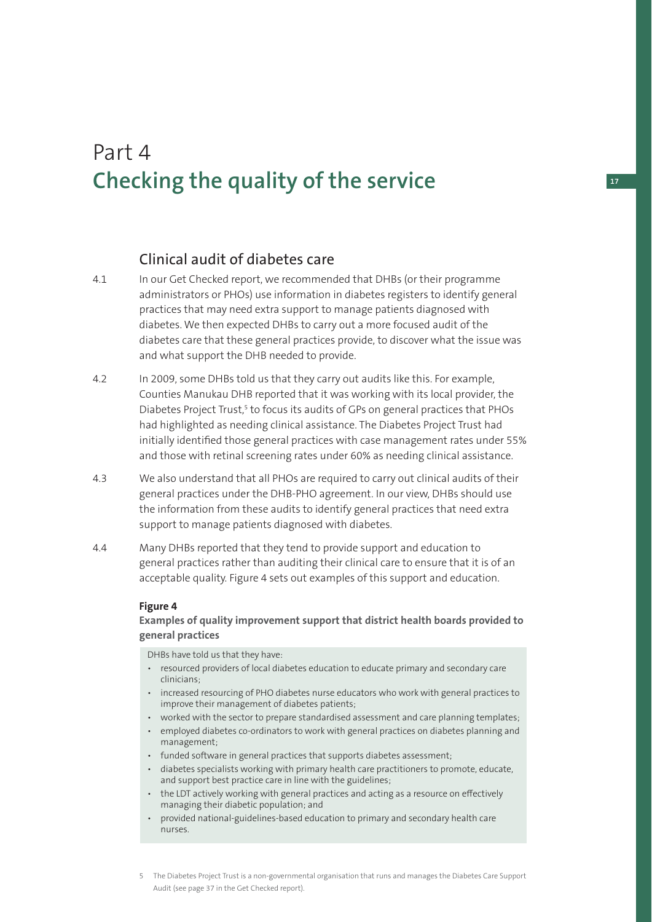## Part 4 **Checking the quality of the service**

## Clinical audit of diabetes care

- 4.1 In our Get Checked report, we recommended that DHBs (or their programme administrators or PHOs) use information in diabetes registers to identify general practices that may need extra support to manage patients diagnosed with diabetes. We then expected DHBs to carry out a more focused audit of the diabetes care that these general practices provide, to discover what the issue was and what support the DHB needed to provide.
- 4.2 In 2009, some DHBs told us that they carry out audits like this. For example, Counties Manukau DHB reported that it was working with its local provider, the Diabetes Project Trust,<sup>5</sup> to focus its audits of GPs on general practices that PHOs had highlighted as needing clinical assistance. The Diabetes Project Trust had initially identified those general practices with case management rates under 55% and those with retinal screening rates under 60% as needing clinical assistance.
- 4.3 We also understand that all PHOs are required to carry out clinical audits of their general practices under the DHB-PHO agreement. In our view, DHBs should use the information from these audits to identify general practices that need extra support to manage patients diagnosed with diabetes.
- 4.4 Many DHBs reported that they tend to provide support and education to general practices rather than auditing their clinical care to ensure that it is of an acceptable quality. Figure 4 sets out examples of this support and education.

### **Figure 4**

**Examples of quality improvement support that district health boards provided to general practices**

DHBs have told us that they have:

- resourced providers of local diabetes education to educate primary and secondary care clinicians;
- increased resourcing of PHO diabetes nurse educators who work with general practices to improve their management of diabetes patients;
- worked with the sector to prepare standardised assessment and care planning templates;
- employed diabetes co-ordinators to work with general practices on diabetes planning and management;
- funded software in general practices that supports diabetes assessment;
- diabetes specialists working with primary health care practitioners to promote, educate, and support best practice care in line with the guidelines;
- the LDT actively working with general practices and acting as a resource on effectively managing their diabetic population; and
- provided national-guidelines-based education to primary and secondary health care nurses.

**17**

5 The Diabetes Project Trust is a non-governmental organisation that runs and manages the Diabetes Care Support Audit (see page 37 in the Get Checked report).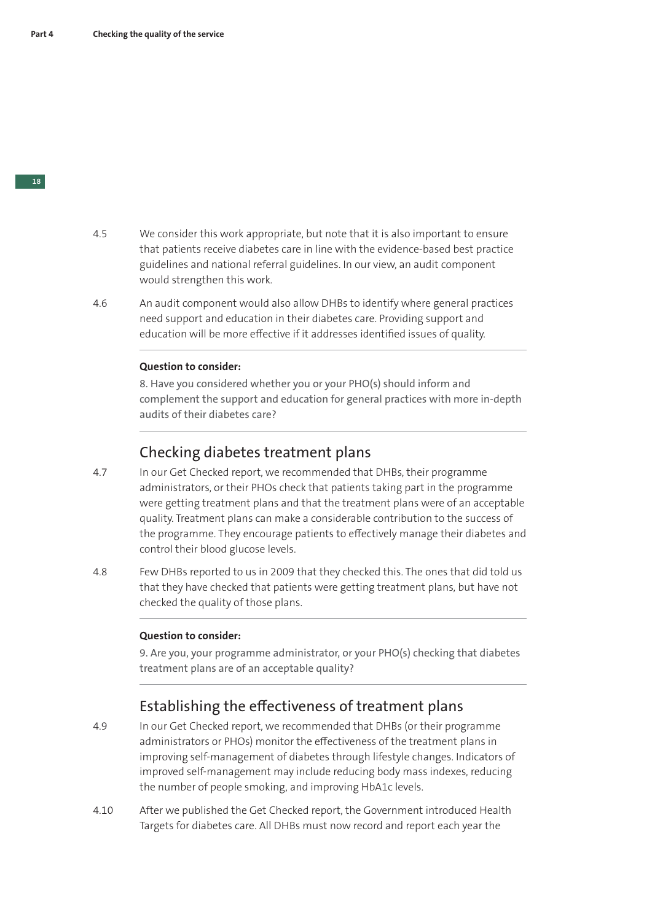- 4.5 We consider this work appropriate, but note that it is also important to ensure that patients receive diabetes care in line with the evidence-based best practice guidelines and national referral guidelines. In our view, an audit component would strengthen this work.
- 4.6 An audit component would also allow DHBs to identify where general practices need support and education in their diabetes care. Providing support and education will be more effective if it addresses identified issues of quality.

#### **Question to consider:**

8. Have you considered whether you or your PHO(s) should inform and complement the support and education for general practices with more in-depth audits of their diabetes care?

## Checking diabetes treatment plans

- 4.7 In our Get Checked report, we recommended that DHBs, their programme administrators, or their PHOs check that patients taking part in the programme were getting treatment plans and that the treatment plans were of an acceptable quality. Treatment plans can make a considerable contribution to the success of the programme. They encourage patients to effectively manage their diabetes and control their blood glucose levels.
- 4.8 Few DHBs reported to us in 2009 that they checked this. The ones that did told us that they have checked that patients were getting treatment plans, but have not checked the quality of those plans.

#### **Question to consider:**

9. Are you, your programme administrator, or your PHO(s) checking that diabetes treatment plans are of an acceptable quality?

## Establishing the effectiveness of treatment plans

- 4.9 In our Get Checked report, we recommended that DHBs (or their programme administrators or PHOs) monitor the effectiveness of the treatment plans in improving self-management of diabetes through lifestyle changes. Indicators of improved self-management may include reducing body mass indexes, reducing the number of people smoking, and improving HbA1c levels.
- 4.10 After we published the Get Checked report, the Government introduced Health Targets for diabetes care. All DHBs must now record and report each year the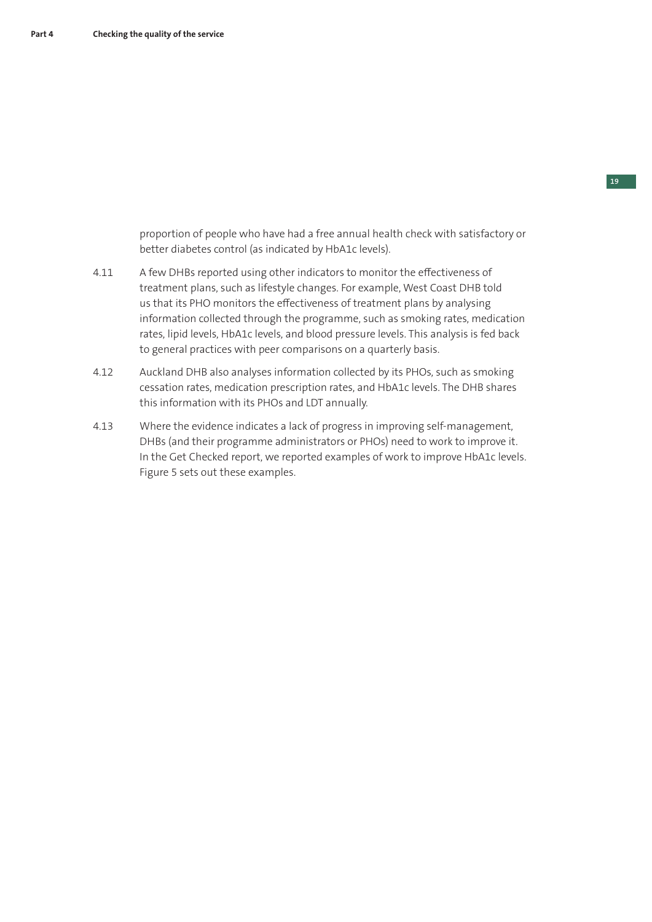proportion of people who have had a free annual health check with satisfactory or better diabetes control (as indicated by HbA1c levels).

- 4.11 A few DHBs reported using other indicators to monitor the effectiveness of treatment plans, such as lifestyle changes. For example, West Coast DHB told us that its PHO monitors the effectiveness of treatment plans by analysing information collected through the programme, such as smoking rates, medication rates, lipid levels, HbA1c levels, and blood pressure levels. This analysis is fed back to general practices with peer comparisons on a quarterly basis.
- 4.12 Auckland DHB also analyses information collected by its PHOs, such as smoking cessation rates, medication prescription rates, and HbA1c levels. The DHB shares this information with its PHOs and LDT annually.
- 4.13 Where the evidence indicates a lack of progress in improving self-management, DHBs (and their programme administrators or PHOs) need to work to improve it. In the Get Checked report, we reported examples of work to improve HbA1c levels. Figure 5 sets out these examples.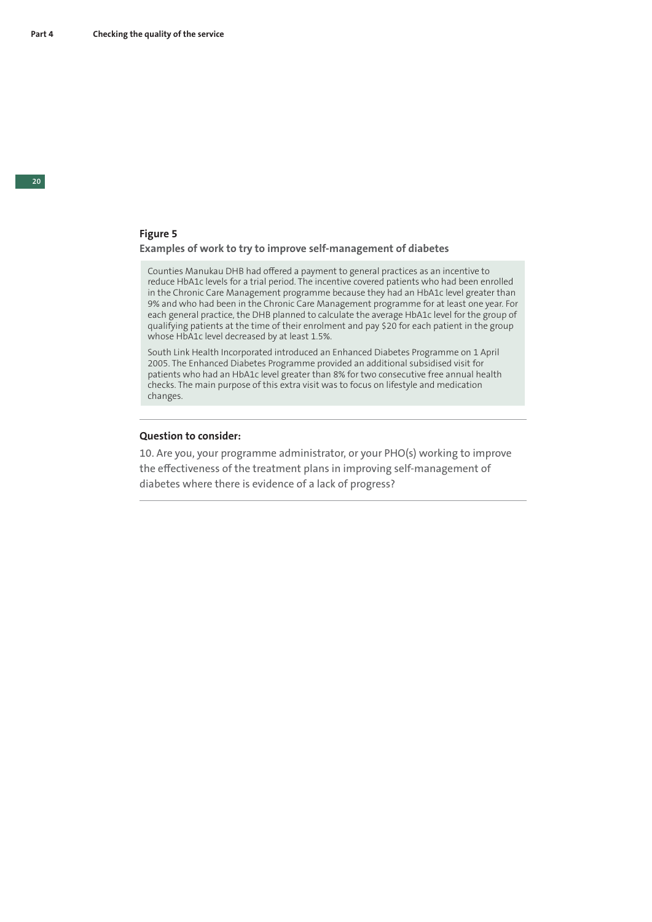## **Figure 5**

### **Examples of work to try to improve self-management of diabetes**

Counties Manukau DHB had offered a payment to general practices as an incentive to reduce HbA1c levels for a trial period. The incentive covered patients who had been enrolled in the Chronic Care Management programme because they had an HbA1c level greater than 9% and who had been in the Chronic Care Management programme for at least one year. For each general practice, the DHB planned to calculate the average HbA1c level for the group of qualifying patients at the time of their enrolment and pay \$20 for each patient in the group whose HbA1c level decreased by at least 1.5%.

South Link Health Incorporated introduced an Enhanced Diabetes Programme on 1 April 2005. The Enhanced Diabetes Programme provided an additional subsidised visit for patients who had an HbA1c level greater than 8% for two consecutive free annual health checks. The main purpose of this extra visit was to focus on lifestyle and medication changes.

#### **Question to consider:**

10. Are you, your programme administrator, or your PHO(s) working to improve the effectiveness of the treatment plans in improving self-management of diabetes where there is evidence of a lack of progress?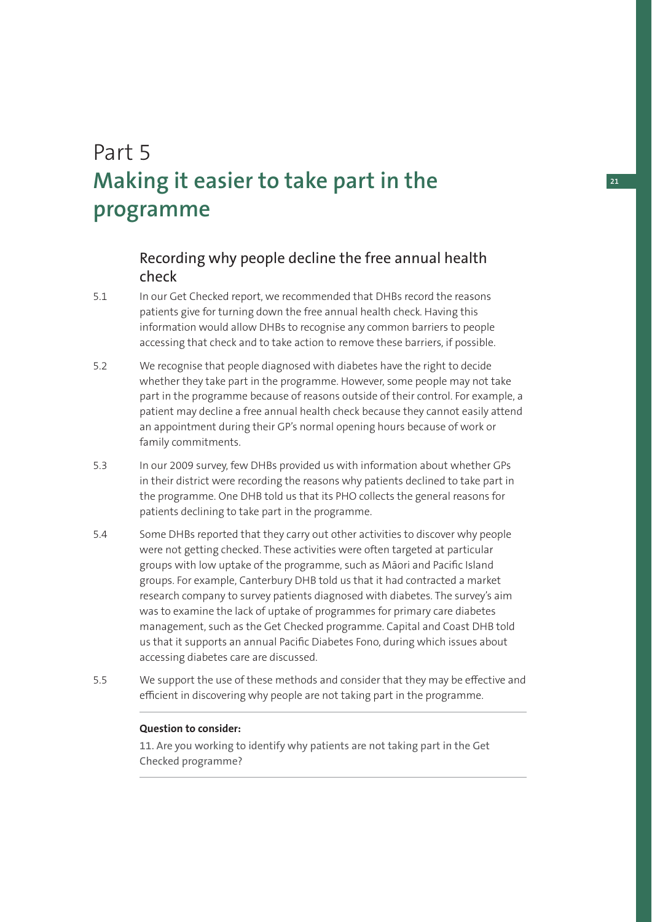# Part 5 **Making it easier to take part in the programme**

## Recording why people decline the free annual health check

- 5.1 In our Get Checked report, we recommended that DHBs record the reasons patients give for turning down the free annual health check. Having this information would allow DHBs to recognise any common barriers to people accessing that check and to take action to remove these barriers, if possible.
- 5.2 We recognise that people diagnosed with diabetes have the right to decide whether they take part in the programme. However, some people may not take part in the programme because of reasons outside of their control. For example, a patient may decline a free annual health check because they cannot easily attend an appointment during their GP's normal opening hours because of work or family commitments.
- 5.3 In our 2009 survey, few DHBs provided us with information about whether GPs in their district were recording the reasons why patients declined to take part in the programme. One DHB told us that its PHO collects the general reasons for patients declining to take part in the programme.
- 5.4 Some DHBs reported that they carry out other activities to discover why people were not getting checked. These activities were often targeted at particular groups with low uptake of the programme, such as Māori and Pacific Island groups. For example, Canterbury DHB told us that it had contracted a market research company to survey patients diagnosed with diabetes. The survey's aim was to examine the lack of uptake of programmes for primary care diabetes management, such as the Get Checked programme. Capital and Coast DHB told us that it supports an annual Pacific Diabetes Fono, during which issues about accessing diabetes care are discussed.
- 5.5 We support the use of these methods and consider that they may be effective and efficient in discovering why people are not taking part in the programme.

### **Question to consider:**

11. Are you working to identify why patients are not taking part in the Get Checked programme?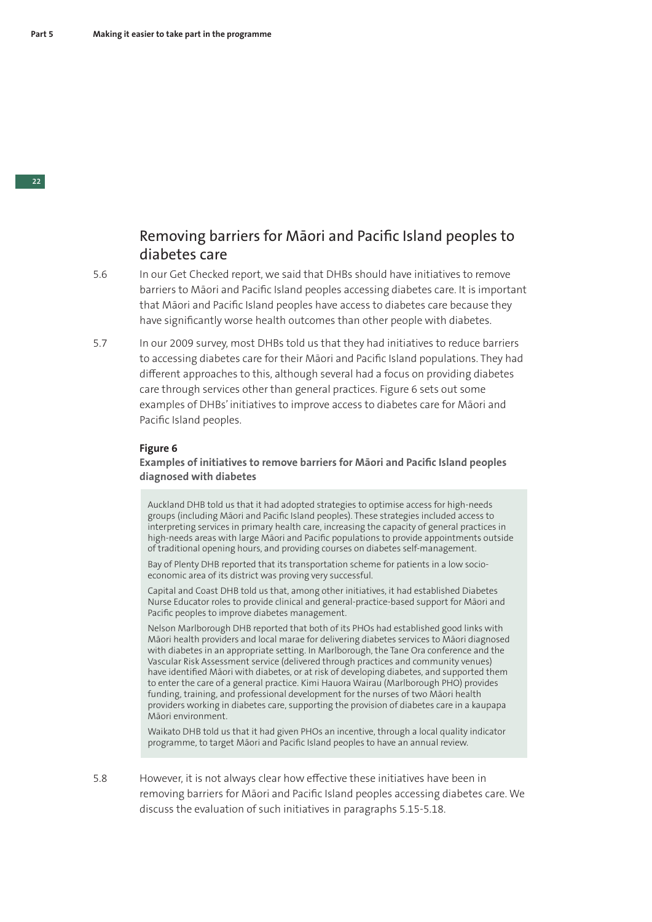## Removing barriers for Māori and Pacific Island peoples to diabetes care

- 5.6 In our Get Checked report, we said that DHBs should have initiatives to remove barriers to Māori and Pacific Island peoples accessing diabetes care. It is important that Māori and Pacific Island peoples have access to diabetes care because they have significantly worse health outcomes than other people with diabetes.
- 5.7 In our 2009 survey, most DHBs told us that they had initiatives to reduce barriers to accessing diabetes care for their Māori and Pacific Island populations. They had different approaches to this, although several had a focus on providing diabetes care through services other than general practices. Figure 6 sets out some examples of DHBs' initiatives to improve access to diabetes care for Māori and Pacific Island peoples.

### **Figure 6**

**Examples of initiatives to remove barriers for Māori and Pacific Island peoples diagnosed with diabetes**

Auckland DHB told us that it had adopted strategies to optimise access for high-needs groups (including Māori and Pacific Island peoples). These strategies included access to interpreting services in primary health care, increasing the capacity of general practices in high-needs areas with large Māori and Pacific populations to provide appointments outside of traditional opening hours, and providing courses on diabetes self-management.

Bay of Plenty DHB reported that its transportation scheme for patients in a low socioeconomic area of its district was proving very successful.

Capital and Coast DHB told us that, among other initiatives, it had established Diabetes Nurse Educator roles to provide clinical and general-practice-based support for Māori and Pacific peoples to improve diabetes management.

Nelson Marlborough DHB reported that both of its PHOs had established good links with Māori health providers and local marae for delivering diabetes services to Māori diagnosed with diabetes in an appropriate setting. In Marlborough, the Tane Ora conference and the Vascular Risk Assessment service (delivered through practices and community venues) have identified Māori with diabetes, or at risk of developing diabetes, and supported them to enter the care of a general practice. Kimi Hauora Wairau (Marlborough PHO) provides funding, training, and professional development for the nurses of two Māori health providers working in diabetes care, supporting the provision of diabetes care in a kaupapa Māori environment.

Waikato DHB told us that it had given PHOs an incentive, through a local quality indicator programme, to target Māori and Pacific Island peoples to have an annual review.

5.8 However, it is not always clear how effective these initiatives have been in removing barriers for Māori and Pacific Island peoples accessing diabetes care. We discuss the evaluation of such initiatives in paragraphs 5.15-5.18.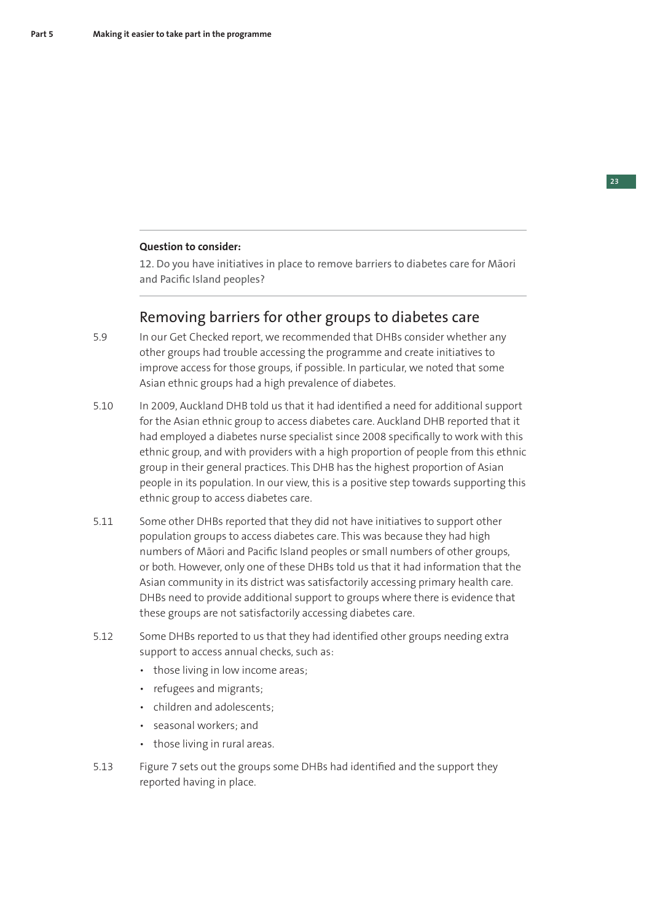### **Question to consider:**

12. Do you have initiatives in place to remove barriers to diabetes care for Māori and Pacific Island peoples?

## Removing barriers for other groups to diabetes care

- 5.9 In our Get Checked report, we recommended that DHBs consider whether any other groups had trouble accessing the programme and create initiatives to improve access for those groups, if possible. In particular, we noted that some Asian ethnic groups had a high prevalence of diabetes.
- 5.10 In 2009, Auckland DHB told us that it had identified a need for additional support for the Asian ethnic group to access diabetes care. Auckland DHB reported that it had employed a diabetes nurse specialist since 2008 specifically to work with this ethnic group, and with providers with a high proportion of people from this ethnic group in their general practices. This DHB has the highest proportion of Asian people in its population. In our view, this is a positive step towards supporting this ethnic group to access diabetes care.
- 5.11 Some other DHBs reported that they did not have initiatives to support other population groups to access diabetes care. This was because they had high numbers of Māori and Pacific Island peoples or small numbers of other groups, or both. However, only one of these DHBs told us that it had information that the Asian community in its district was satisfactorily accessing primary health care. DHBs need to provide additional support to groups where there is evidence that these groups are not satisfactorily accessing diabetes care.
- 5.12 Some DHBs reported to us that they had identified other groups needing extra support to access annual checks, such as:
	- those living in low income areas;
	- refugees and migrants;
	- children and adolescents;
	- seasonal workers; and
	- those living in rural areas.
- 5.13 Figure 7 sets out the groups some DHBs had identified and the support they reported having in place.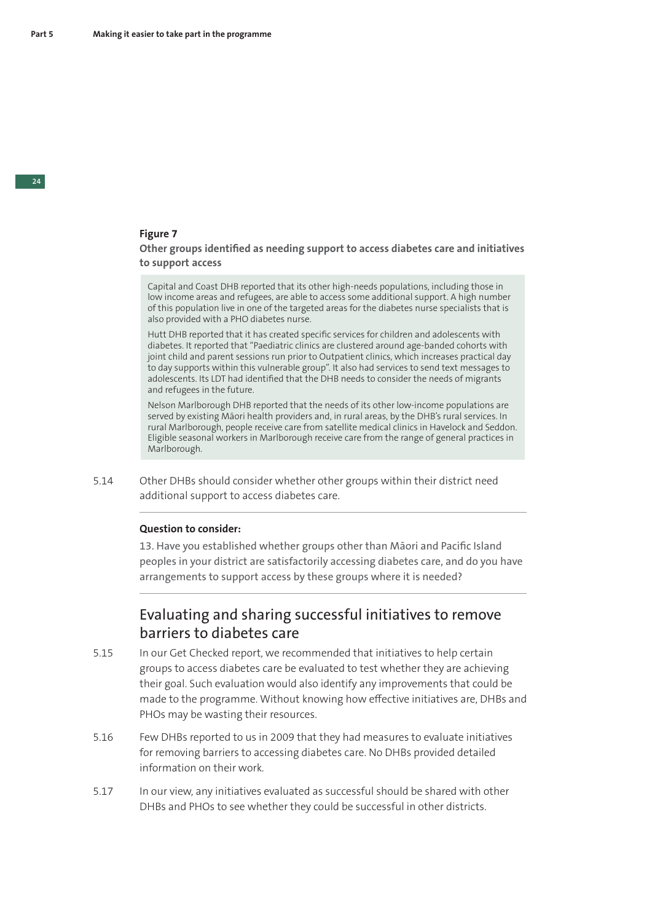### **Figure 7**

### **Other groups identified as needing support to access diabetes care and initiatives to support access**

Capital and Coast DHB reported that its other high-needs populations, including those in low income areas and refugees, are able to access some additional support. A high number of this population live in one of the targeted areas for the diabetes nurse specialists that is also provided with a PHO diabetes nurse.

Hutt DHB reported that it has created specific services for children and adolescents with diabetes. It reported that "Paediatric clinics are clustered around age-banded cohorts with joint child and parent sessions run prior to Outpatient clinics, which increases practical day to day supports within this vulnerable group". It also had services to send text messages to adolescents. Its LDT had identified that the DHB needs to consider the needs of migrants and refugees in the future.

Nelson Marlborough DHB reported that the needs of its other low-income populations are served by existing Māori health providers and, in rural areas, by the DHB's rural services. In rural Marlborough, people receive care from satellite medical clinics in Havelock and Seddon. Eligible seasonal workers in Marlborough receive care from the range of general practices in Marlborough.

5.14 Other DHBs should consider whether other groups within their district need additional support to access diabetes care.

### **Question to consider:**

13. Have you established whether groups other than Māori and Pacific Island peoples in your district are satisfactorily accessing diabetes care, and do you have arrangements to support access by these groups where it is needed?

## Evaluating and sharing successful initiatives to remove barriers to diabetes care

- 5.15 In our Get Checked report, we recommended that initiatives to help certain groups to access diabetes care be evaluated to test whether they are achieving their goal. Such evaluation would also identify any improvements that could be made to the programme. Without knowing how effective initiatives are, DHBs and PHOs may be wasting their resources.
- 5.16 Few DHBs reported to us in 2009 that they had measures to evaluate initiatives for removing barriers to accessing diabetes care. No DHBs provided detailed information on their work.
- 5.17 In our view, any initiatives evaluated as successful should be shared with other DHBs and PHOs to see whether they could be successful in other districts.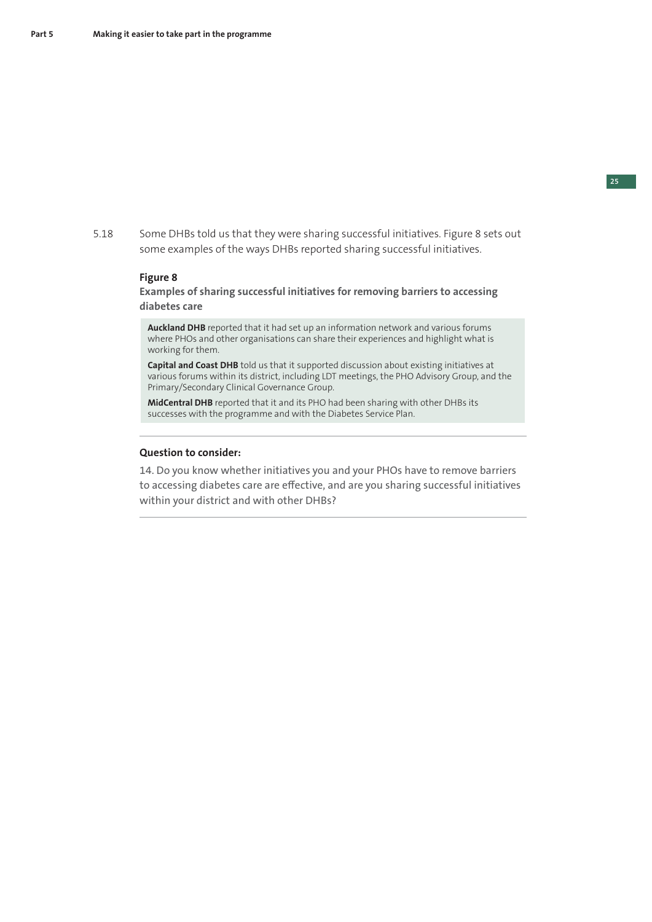5.18 Some DHBs told us that they were sharing successful initiatives. Figure 8 sets out some examples of the ways DHBs reported sharing successful initiatives.

#### **Figure 8**

**Examples of sharing successful initiatives for removing barriers to accessing diabetes care**

**Auckland DHB** reported that it had set up an information network and various forums where PHOs and other organisations can share their experiences and highlight what is working for them.

**Capital and Coast DHB** told us that it supported discussion about existing initiatives at various forums within its district, including LDT meetings, the PHO Advisory Group, and the Primary/Secondary Clinical Governance Group.

**MidCentral DHB** reported that it and its PHO had been sharing with other DHBs its successes with the programme and with the Diabetes Service Plan.

### **Question to consider:**

14. Do you know whether initiatives you and your PHOs have to remove barriers to accessing diabetes care are effective, and are you sharing successful initiatives within your district and with other DHBs?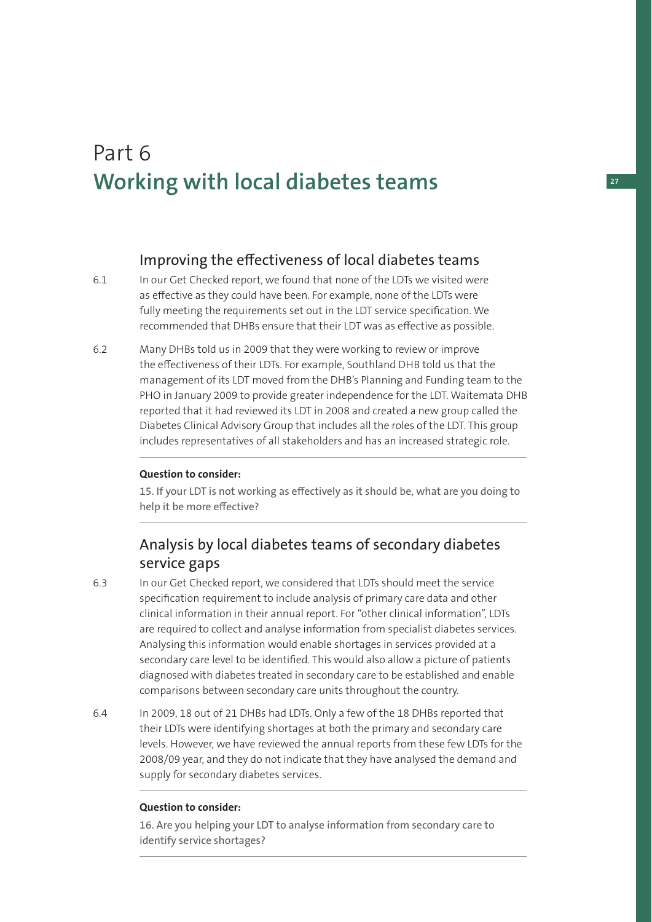# Part 6 **Working with local diabetes teams**

## Improving the effectiveness of local diabetes teams

- 6.1 In our Get Checked report, we found that none of the LDTs we visited were as effective as they could have been. For example, none of the LDTs were fully meeting the requirements set out in the LDT service specification. We recommended that DHBs ensure that their LDT was as effective as possible.
- 6.2 Many DHBs told us in 2009 that they were working to review or improve the effectiveness of their LDTs. For example, Southland DHB told us that the management of its LDT moved from the DHB's Planning and Funding team to the PHO in January 2009 to provide greater independence for the LDT. Waitemata DHB reported that it had reviewed its LDT in 2008 and created a new group called the Diabetes Clinical Advisory Group that includes all the roles of the LDT. This group includes representatives of all stakeholders and has an increased strategic role.

## **Question to consider:**

15. If your LDT is not working as effectively as it should be, what are you doing to help it be more effective?

## Analysis by local diabetes teams of secondary diabetes service gaps

- 6.3 In our Get Checked report, we considered that LDTs should meet the service specification requirement to include analysis of primary care data and other clinical information in their annual report. For "other clinical information", LDTs are required to collect and analyse information from specialist diabetes services. Analysing this information would enable shortages in services provided at a secondary care level to be identified. This would also allow a picture of patients diagnosed with diabetes treated in secondary care to be established and enable comparisons between secondary care units throughout the country.
- 6.4 In 2009, 18 out of 21 DHBs had LDTs. Only a few of the 18 DHBs reported that their LDTs were identifying shortages at both the primary and secondary care levels. However, we have reviewed the annual reports from these few LDTs for the 2008/09 year, and they do not indicate that they have analysed the demand and supply for secondary diabetes services.

### **Question to consider:**

16. Are you helping your LDT to analyse information from secondary care to identify service shortages?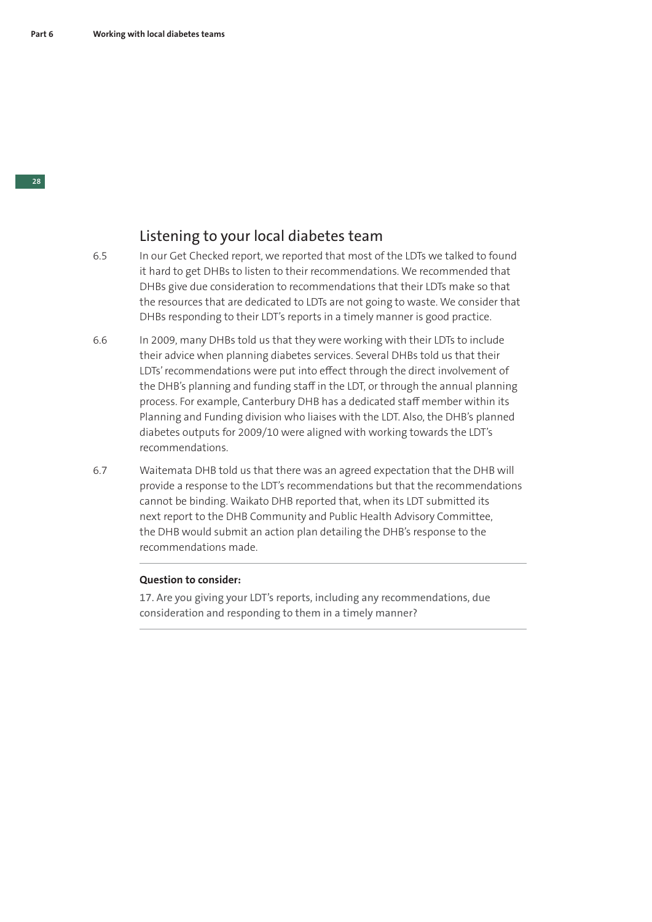## Listening to your local diabetes team

- 6.5 In our Get Checked report, we reported that most of the LDTs we talked to found it hard to get DHBs to listen to their recommendations. We recommended that DHBs give due consideration to recommendations that their LDTs make so that the resources that are dedicated to LDTs are not going to waste. We consider that DHBs responding to their LDT's reports in a timely manner is good practice.
- 6.6 In 2009, many DHBs told us that they were working with their LDTs to include their advice when planning diabetes services. Several DHBs told us that their LDTs' recommendations were put into effect through the direct involvement of the DHB's planning and funding staff in the LDT, or through the annual planning process. For example, Canterbury DHB has a dedicated staff member within its Planning and Funding division who liaises with the LDT. Also, the DHB's planned diabetes outputs for 2009/10 were aligned with working towards the LDT's recommendations.
- 6.7 Waitemata DHB told us that there was an agreed expectation that the DHB will provide a response to the LDT's recommendations but that the recommendations cannot be binding. Waikato DHB reported that, when its LDT submitted its next report to the DHB Community and Public Health Advisory Committee, the DHB would submit an action plan detailing the DHB's response to the recommendations made.

### **Question to consider:**

17. Are you giving your LDT's reports, including any recommendations, due consideration and responding to them in a timely manner?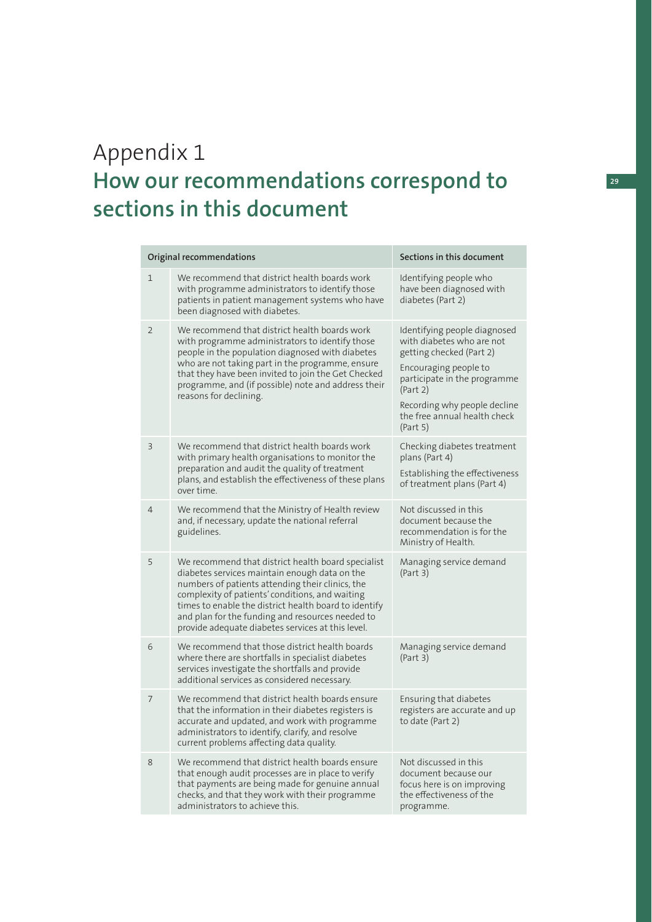# Appendix 1 **How our recommendations correspond to sections in this document**

| Sections in this document<br>Original recommendations |                                                                                                                                                                                                                                                                                                                                                                              |                                                                                                                                                                                                                                        |
|-------------------------------------------------------|------------------------------------------------------------------------------------------------------------------------------------------------------------------------------------------------------------------------------------------------------------------------------------------------------------------------------------------------------------------------------|----------------------------------------------------------------------------------------------------------------------------------------------------------------------------------------------------------------------------------------|
| 1                                                     | We recommend that district health boards work<br>with programme administrators to identify those<br>patients in patient management systems who have<br>been diagnosed with diabetes.                                                                                                                                                                                         | Identifying people who<br>have been diagnosed with<br>diabetes (Part 2)                                                                                                                                                                |
| $\overline{2}$                                        | We recommend that district health boards work<br>with programme administrators to identify those<br>people in the population diagnosed with diabetes<br>who are not taking part in the programme, ensure<br>that they have been invited to join the Get Checked<br>programme, and (if possible) note and address their<br>reasons for declining.                             | Identifying people diagnosed<br>with diabetes who are not<br>getting checked (Part 2)<br>Encouraging people to<br>participate in the programme<br>(Part 2)<br>Recording why people decline<br>the free annual health check<br>(Part 5) |
| 3                                                     | We recommend that district health boards work<br>with primary health organisations to monitor the<br>preparation and audit the quality of treatment<br>plans, and establish the effectiveness of these plans<br>over time.                                                                                                                                                   | Checking diabetes treatment<br>plans (Part 4)<br>Establishing the effectiveness<br>of treatment plans (Part 4)                                                                                                                         |
| 4                                                     | We recommend that the Ministry of Health review<br>and, if necessary, update the national referral<br>guidelines.                                                                                                                                                                                                                                                            | Not discussed in this<br>document because the<br>recommendation is for the<br>Ministry of Health.                                                                                                                                      |
| 5                                                     | We recommend that district health board specialist<br>diabetes services maintain enough data on the<br>numbers of patients attending their clinics, the<br>complexity of patients' conditions, and waiting<br>times to enable the district health board to identify<br>and plan for the funding and resources needed to<br>provide adequate diabetes services at this level. | Managing service demand<br>(Part 3)                                                                                                                                                                                                    |
| 6                                                     | We recommend that those district health boards<br>where there are shortfalls in specialist diabetes<br>services investigate the shortfalls and provide<br>additional services as considered necessary.                                                                                                                                                                       | Managing service demand<br>(Part 3)                                                                                                                                                                                                    |
| 7                                                     | We recommend that district health boards ensure<br>that the information in their diabetes registers is<br>accurate and updated, and work with programme<br>administrators to identify, clarify, and resolve<br>current problems affecting data quality.                                                                                                                      | Ensuring that diabetes<br>registers are accurate and up<br>to date (Part 2)                                                                                                                                                            |
| 8                                                     | We recommend that district health boards ensure<br>that enough audit processes are in place to verify<br>that payments are being made for genuine annual<br>checks, and that they work with their programme<br>administrators to achieve this.                                                                                                                               | Not discussed in this<br>document because our<br>focus here is on improving<br>the effectiveness of the<br>programme.                                                                                                                  |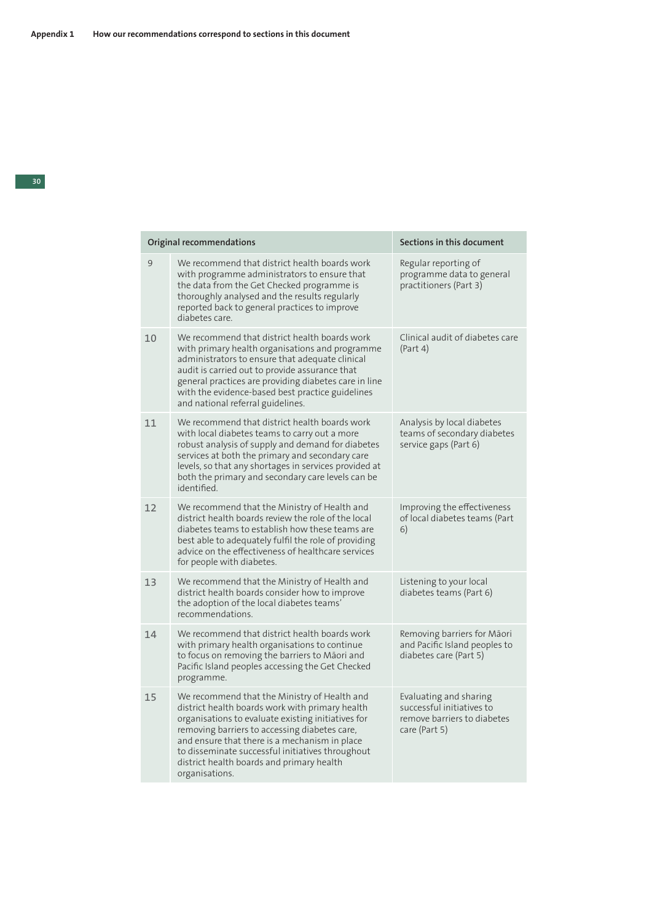organisations.

|    | Original recommendations                                                                                                                                                                                                                                                                                                                                 | Sections in this document                                                                           |
|----|----------------------------------------------------------------------------------------------------------------------------------------------------------------------------------------------------------------------------------------------------------------------------------------------------------------------------------------------------------|-----------------------------------------------------------------------------------------------------|
| 9  | We recommend that district health boards work<br>with programme administrators to ensure that<br>the data from the Get Checked programme is<br>thoroughly analysed and the results regularly<br>reported back to general practices to improve<br>diabetes care.                                                                                          | Regular reporting of<br>programme data to general<br>practitioners (Part 3)                         |
| 10 | We recommend that district health boards work<br>with primary health organisations and programme<br>administrators to ensure that adequate clinical<br>audit is carried out to provide assurance that<br>general practices are providing diabetes care in line<br>with the evidence-based best practice guidelines<br>and national referral guidelines.  | Clinical audit of diabetes care<br>(Part 4)                                                         |
| 11 | We recommend that district health boards work<br>with local diabetes teams to carry out a more<br>robust analysis of supply and demand for diabetes<br>services at both the primary and secondary care<br>levels, so that any shortages in services provided at<br>both the primary and secondary care levels can be<br>identified.                      | Analysis by local diabetes<br>teams of secondary diabetes<br>service gaps (Part 6)                  |
| 12 | We recommend that the Ministry of Health and<br>district health boards review the role of the local<br>diabetes teams to establish how these teams are<br>best able to adequately fulfil the role of providing<br>advice on the effectiveness of healthcare services<br>for people with diabetes.                                                        | Improving the effectiveness<br>of local diabetes teams (Part<br>6)                                  |
| 13 | We recommend that the Ministry of Health and<br>district health boards consider how to improve<br>the adoption of the local diabetes teams'<br>recommendations.                                                                                                                                                                                          | Listening to your local<br>diabetes teams (Part 6)                                                  |
| 14 | We recommend that district health boards work<br>with primary health organisations to continue<br>to focus on removing the barriers to Māori and<br>Pacific Island peoples accessing the Get Checked<br>programme.                                                                                                                                       | Removing barriers for Māori<br>and Pacific Island peoples to<br>diabetes care (Part 5)              |
| 15 | We recommend that the Ministry of Health and<br>district health boards work with primary health<br>organisations to evaluate existing initiatives for<br>removing barriers to accessing diabetes care,<br>and ensure that there is a mechanism in place<br>to disseminate successful initiatives throughout<br>district health boards and primary health | Evaluating and sharing<br>successful initiatives to<br>remove barriers to diabetes<br>care (Part 5) |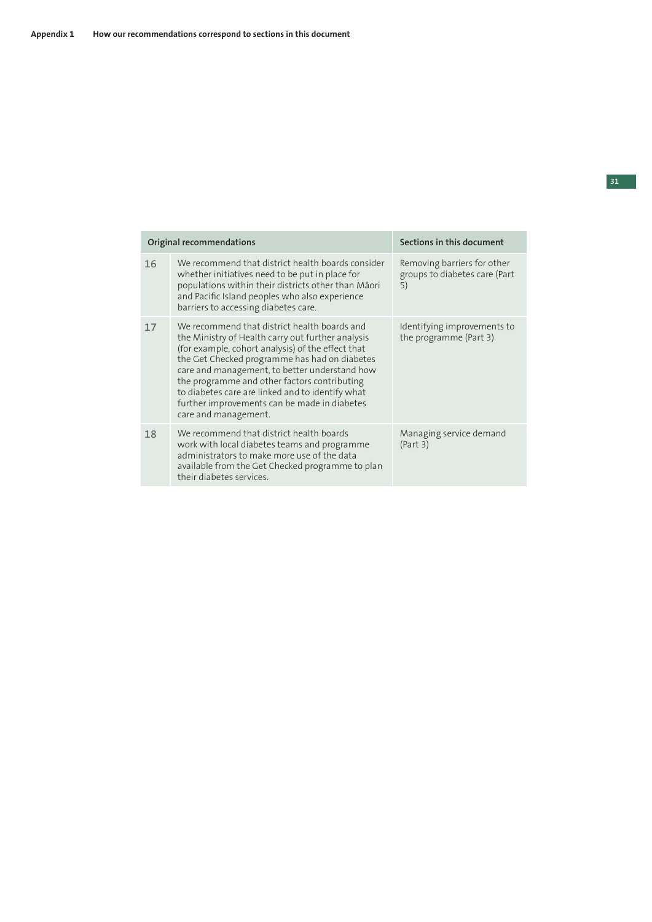| Original recommendations |                                                                                                                                                                                                                                                                                                                                                                                                                                      | Sections in this document                                          |
|--------------------------|--------------------------------------------------------------------------------------------------------------------------------------------------------------------------------------------------------------------------------------------------------------------------------------------------------------------------------------------------------------------------------------------------------------------------------------|--------------------------------------------------------------------|
| 16                       | We recommend that district health boards consider<br>whether initiatives need to be put in place for<br>populations within their districts other than Māori<br>and Pacific Island peoples who also experience<br>barriers to accessing diabetes care.                                                                                                                                                                                | Removing barriers for other<br>groups to diabetes care (Part<br>5) |
| 17                       | We recommend that district health boards and<br>the Ministry of Health carry out further analysis<br>(for example, cohort analysis) of the effect that<br>the Get Checked programme has had on diabetes<br>care and management, to better understand how<br>the programme and other factors contributing<br>to diabetes care are linked and to identify what<br>further improvements can be made in diabetes<br>care and management. | Identifying improvements to<br>the programme (Part 3)              |
| 18                       | We recommend that district health boards<br>work with local diabetes teams and programme<br>administrators to make more use of the data<br>available from the Get Checked programme to plan<br>their diabetes services.                                                                                                                                                                                                              | Managing service demand<br>(Part 3)                                |